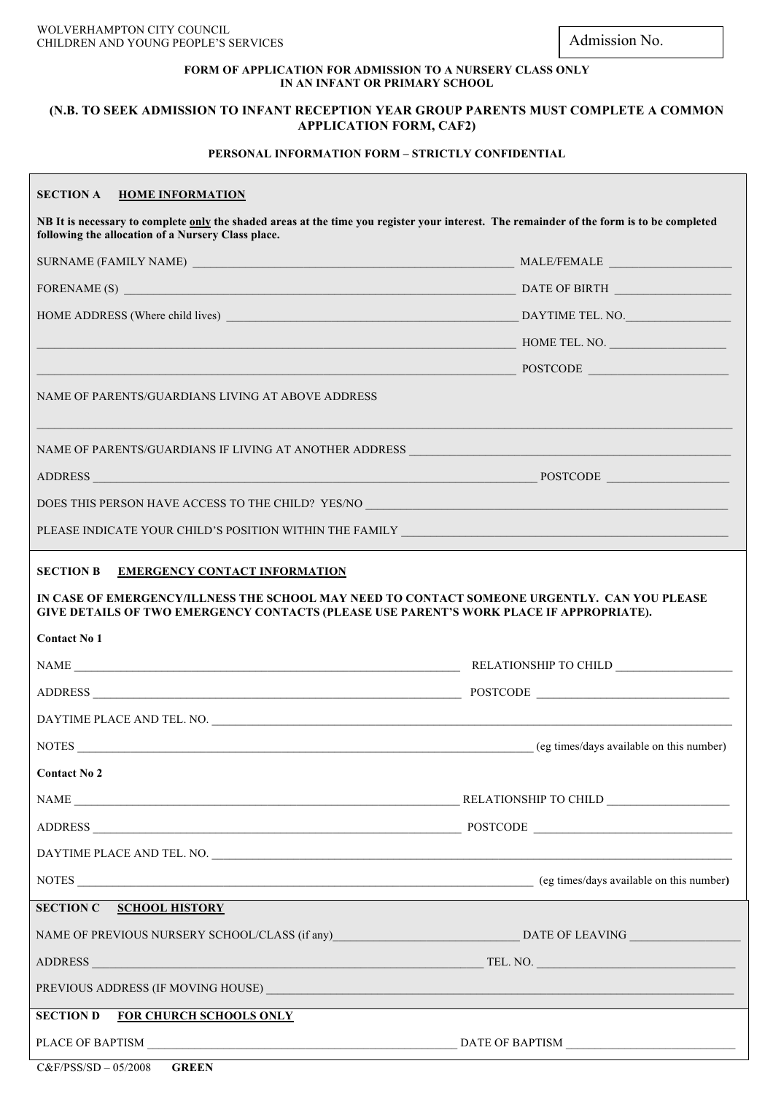Admission No.

## **FORM OF APPLICATION FOR ADMISSION TO A NURSERY CLASS ONLY IN AN INFANT OR PRIMARY SCHOOL**

## **(N.B. TO SEEK ADMISSION TO INFANT RECEPTION YEAR GROUP PARENTS MUST COMPLETE A COMMON APPLICATION FORM, CAF2)**

## **PERSONAL INFORMATION FORM – STRICTLY CONFIDENTIAL**

## **SECTION A HOME INFORMATION**

**NB It is necessary to complete only the shaded areas at the time you register your interest. The remainder of the form is to be completed following the allocation of a Nursery Class place.**

| HOME ADDRESS (Where child lives)                                                                                                                                                                                               | DAYTIME TEL. NO. |  |
|--------------------------------------------------------------------------------------------------------------------------------------------------------------------------------------------------------------------------------|------------------|--|
|                                                                                                                                                                                                                                | HOME TEL. NO.    |  |
| POSTCODE POSTCODE                                                                                                                                                                                                              |                  |  |
| NAME OF PARENTS/GUARDIANS LIVING AT ABOVE ADDRESS                                                                                                                                                                              |                  |  |
| NAME OF PARENTS/GUARDIANS IF LIVING AT ANOTHER ADDRESS __________________________                                                                                                                                              |                  |  |
|                                                                                                                                                                                                                                |                  |  |
| DOES THIS PERSON HAVE ACCESS TO THE CHILD? YES/NO _______________________________                                                                                                                                              |                  |  |
|                                                                                                                                                                                                                                |                  |  |
| <b>SECTION B</b><br><b>EMERGENCY CONTACT INFORMATION</b>                                                                                                                                                                       |                  |  |
| IN CASE OF EMERGENCY/ILLNESS THE SCHOOL MAY NEED TO CONTACT SOMEONE URGENTLY. CAN YOU PLEASE<br>GIVE DETAILS OF TWO EMERGENCY CONTACTS (PLEASE USE PARENT'S WORK PLACE IF APPROPRIATE).                                        |                  |  |
| <b>Contact No 1</b>                                                                                                                                                                                                            |                  |  |
|                                                                                                                                                                                                                                |                  |  |
|                                                                                                                                                                                                                                |                  |  |
|                                                                                                                                                                                                                                |                  |  |
|                                                                                                                                                                                                                                |                  |  |
| <b>Contact No 2</b>                                                                                                                                                                                                            |                  |  |
|                                                                                                                                                                                                                                |                  |  |
| <b>ADDRESS</b><br>$\overline{\phantom{1}}$ POSTCODE                                                                                                                                                                            |                  |  |
|                                                                                                                                                                                                                                |                  |  |
|                                                                                                                                                                                                                                |                  |  |
| <b>SECTION C</b><br><b>SCHOOL HISTORY</b>                                                                                                                                                                                      |                  |  |
|                                                                                                                                                                                                                                |                  |  |
|                                                                                                                                                                                                                                |                  |  |
| PREVIOUS ADDRESS (IF MOVING HOUSE) VALUE AND A CONSERVENT OF A CHARGE AND A CHARGE AND THE CONSERVENT OF A CHARGE AND THE CONSERVENT OF A CHARGE AND A CHARGE AND A CHARGE AND A CHARGE AND A CHARGE AND A CHARGE AND A CHARGE |                  |  |
| FOR CHURCH SCHOOLS ONLY<br><b>SECTION D</b>                                                                                                                                                                                    |                  |  |
|                                                                                                                                                                                                                                |                  |  |